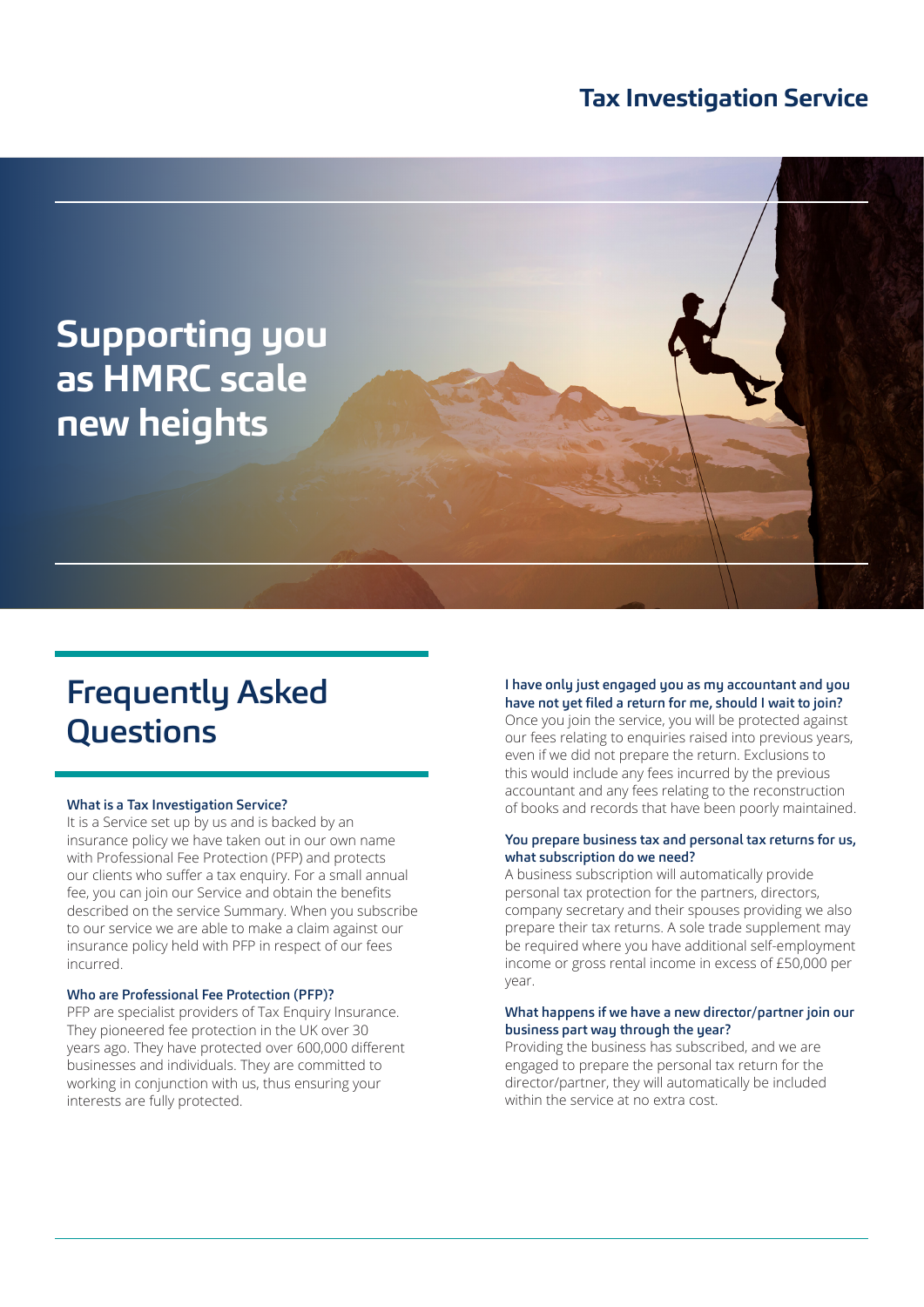## **Tax Investigation Service**



# Frequently Asked **Questions**

#### What is a Tax Investigation Service?

It is a Service set up by us and is backed by an insurance policy we have taken out in our own name with Professional Fee Protection (PFP) and protects our clients who suffer a tax enquiry. For a small annual fee, you can join our Service and obtain the benefits described on the service Summary. When you subscribe to our service we are able to make a claim against our insurance policy held with PFP in respect of our fees incurred.

#### Who are Professional Fee Protection (PFP)?

PFP are specialist providers of Tax Enquiry Insurance. They pioneered fee protection in the UK over 30 years ago. They have protected over 600,000 different businesses and individuals. They are committed to working in conjunction with us, thus ensuring your interests are fully protected.

#### I have only just engaged you as my accountant and you have not yet filed a return for me, should I wait to join?

Once you join the service, you will be protected against our fees relating to enquiries raised into previous years, even if we did not prepare the return. Exclusions to this would include any fees incurred by the previous accountant and any fees relating to the reconstruction of books and records that have been poorly maintained.

#### You prepare business tax and personal tax returns for us, what subscription do we need?

A business subscription will automatically provide personal tax protection for the partners, directors, company secretary and their spouses providing we also prepare their tax returns. A sole trade supplement may be required where you have additional self-employment income or gross rental income in excess of £50,000 per year.

#### What happens if we have a new director/partner join our business part way through the year?

Providing the business has subscribed, and we are engaged to prepare the personal tax return for the director/partner, they will automatically be included within the service at no extra cost.